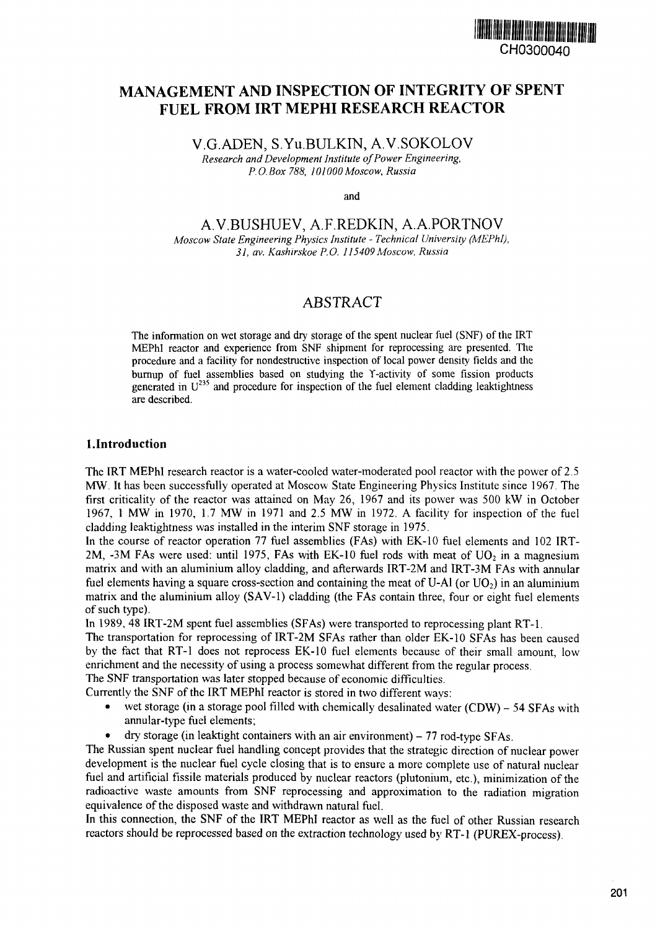

# **MANAGEMENT AND INSPECTION OF INTEGRITY OF SPENT FUEL FROM IRT MEPHI RESEARCH REACTOR**

V.G.ADEN, S.Yu.BULKIN, A.V.SOKOLOV *Research and Development Institute of Power Engineering, P. 0. Box 788, 1* 01 *000 Moscow, Russia*

and

A.V.BUSHUEV, A.F.REDKIN, A.A.PORTNOV

*Moscow State Engineering Physics Institute - Technical University (MEPhI), 31, av. Kashirskoe P.O. 115409Moscow, Russia*

## ABSTRACT

The information on wet storage and dry storage of the spent nuclear fuel (SNF) of the IRT NEPhl reactor and experience ftom SNF shipment for reprocessing are presented. The procedure and a facility for nondestructive inspection of local power density fields and the burnup of fuel assemblies based on studying the Y-activity of some fission products generated in  $U^{235}$  and procedure for inspection of the fuel element cladding leaktightness are described.

## **I.Introduction**

The IRT MEPhl research reactor is a water-cooled water-moderated pool reactor with the power of 2.5 MW. It has been successfully operated at Moscow State Engineering Physics Institute since 1967. The first criticality of the reactor was attained on May 26, 1967 and its power was 500 kW in October 1967, 1 MW in 1970, 1.7 MW in 1971 and 2.5 MW in 1972. A facility for inspection of the fuel cladding leaktightness was installed in the interim SNF storage in 1975.

In the course of reactor operation 77 fuel assemblies (FAs) with EK-10 fuel elements and 102 IRT-2M, -3M FAs were used: until 1975, FAs with EK-10 fuel rods with meat of  $U_2$  in a magnesium matrix and with an aluminium alloy cladding, and afterwards IRT-2M and IRT-3M FAs with annular fuel elements having a square cross-section and containing the meat of U-Al (or  $U_2$ ) in an aluminium matrix and the aluminium alloy (SAV-1) cladding (the FAs contain three, four or eight fuel elements of such type).

In 1989, 48 IRT-2M spent fuel assemblies (SFAs) were transported to reprocessing plant RT-I.

The transportation for reprocessing of IRT-2M SFAs rather than older EK-10 SFAs has been caused by the fact that RT-1 does not reprocess EK-10 fuel elements because of their small amount, low enrichment and the necessity of using a process somewhat different from the regular process.

The SNF transportation was later stopped because of economic difficulties.

- Currently the SNF of the IRT MEPhl reactor is stored in two different ways:
	- wet storage (in a storage pool filled with chemically desalinated water (CDW) 54 SFAs with annular-type fuel elements;
	- $\frac{dy}{dx}$  dry storage (in leaktight containers with an air environment) 77 rod-type SFAs.

The Russian spent nuclear fuel handling concept provides that the strategic direction of nuclear power development is the nuclear fuel cycle closing that **is** to ensure a more complete use of natural nuclear fuel and artificial fissile materials produced by nuclear reactors (plutonium, etc.), minimization of the radioactive waste amounts from SNF reprocessing and approximation to the radiation migration equivalence of the disposed waste and withdrawn natural fuel.

In this connection, the SNF of the IRT MEPhl reactor as well as the fuel of other Russian research reactors should be reprocessed based on the extraction technology used by RT-1 (PUREX-process).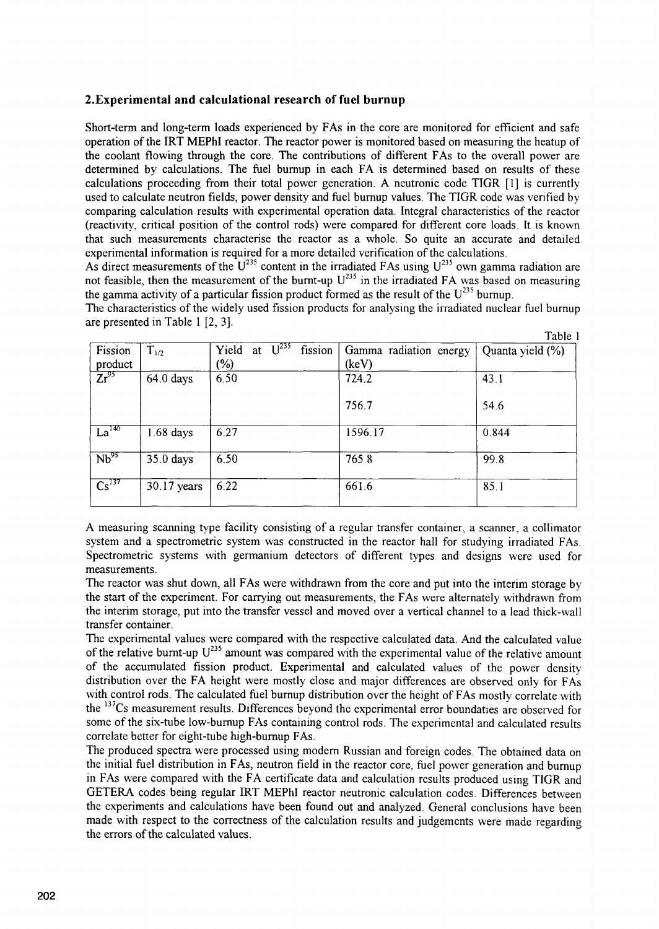## **2.Experimental and calculational research of fuel burnup**

Short-term and long-term loads experienced by FAs in the core are monitored for efficient and safe operation of the IRT MEPhI reactor. The reactor power is monitored based on measuring the heatup of the coolant flowing through the core. The contributions of different FAs to the overall power are determined by calculations. The fuel bumup in each FA is determined based on results of these calculations proceeding from their total power generation. A neutronic code TIGR [1] is currently used to calculate neutron fields, power density and fuel bumup values. The TIGR code was verified by comparing calculation results with experimental operation data. Integral characteristics of the reactor (reactivity, ctical position of the control rods) were compared for different core loads. It is known that such measurements charactenise the reactor as a whole. So quite an accurate and detailed experimental information is required for a more detailed verification of the calculations.

As direct measurements of the  $U^{235}$  content in the irradiated FAs using  $U^{235}$  own gamma radiation are not feasible, then the measurement of the burnt-up U<sup>235</sup> in the irradiated FA was based on measuring not feasible, then the measurement of the burnt-up U<sup>235</sup> in the irradiated FA was based on measuring the gamma activity of a particular fission product formed as the result of the  $U^{235}$  burnup.

The characteristics of the widely used fission products for analysing the irradiated nuclear fuel bumup are presented in Table 1 [2, 3].

|                   |             |                                                |                        | Table 1          |
|-------------------|-------------|------------------------------------------------|------------------------|------------------|
| Fission           | $T_{1/2}$   | $\overline{U^{235}}$<br>fission<br>Yield<br>at | Gamma radiation energy | Quanta yield (%) |
| product           |             | $(\%)$                                         | (keV)                  |                  |
| $Zr^{95}$         | $64.0$ days | 6.50                                           | 724.2                  | 43.1             |
|                   |             |                                                | 756.7                  | 54.6             |
| La <sup>140</sup> | $1.68$ days | 6.27                                           | 1596.17                | 0.844            |
| $Nb^{95}$         | 35.0 days   | 6.50                                           | 7658                   | 99.8             |
| Cs <sup>137</sup> | 30.17 years | 6.22                                           | 661.6                  | 85.1             |

A measuring scanning type facility consisting of a regular transfer container, a scanner, a collimator system and a spectrometric system was constructed in the reactor hall for studying irradiated FAs. Spectrometric systems with germanium detectors of different types and designs were used for measurements.

The reactor was shut down, all FAs were withdrawn from the core and put into the interim storage by the start of the experiment. For carrying out measurements, the FAs were alternately withdrawn from the interim storage, put into the transfer vessel and moved over a vertical channel to a lead thick-wall transfer container.

The experimental values were compared with the respective calculated data. And the calculated value of the relative burnt-up U<sup>235</sup> amount was compared with the experimental value of the relative amount of the accumulated fission product. Experimental and calculated values of the power density distribution over the FA height were mostly close and major differences are observed only for FAs with control rods. The calculated fuel burnup distribution over the height of FAs mostly correlate with the <sup>137</sup>Cs measurement results. Differences beyond the experimental error boundaties are observed for some of the six-tube low-bumup FAs containing control rods. The experimental and calculated results correlate better for eight-tube high-bumup FAs.

The produced spectra were processed using modem Russian and foreign codes. The obtained data on the initial fuel distribution in FAs, neutron field in the reactor core, fuel power generation and burmip in FAs were compared with the FA certificate data and calculation results produced using TIGR and GETERA codes being regular IRT MEPhI reactor neutronic calculation codes. Differences between the experiments and calculations have been found out and analyzed. General conclusions have been made with respect to the correctness of the calculation results and judgements were made regarding the errors of the calculated values.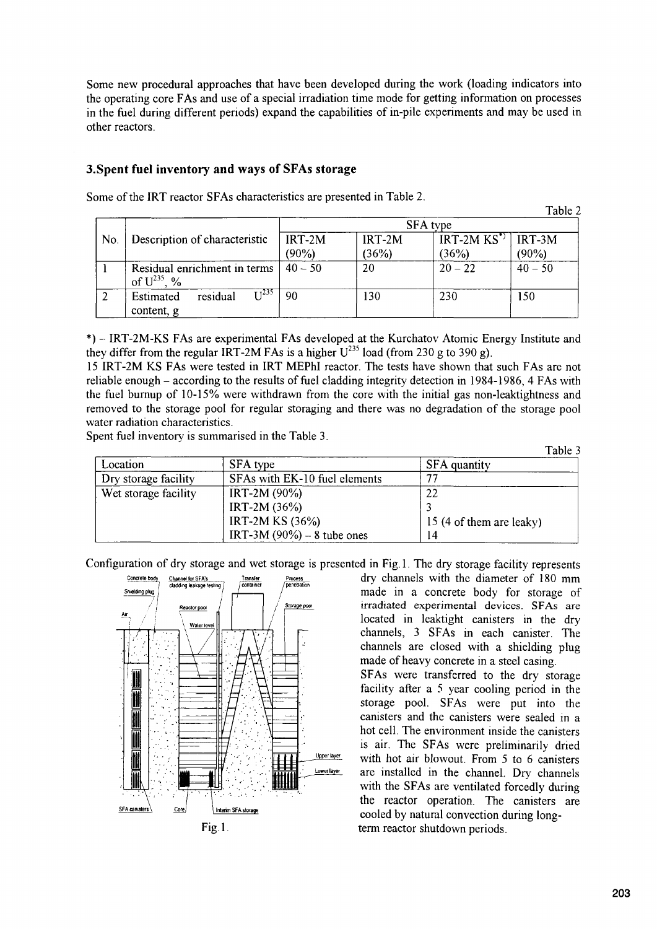Some new procedural approaches that have been developed during the work (loading indicators into the operating core FAs and use of a special irradiation time mode for getting information on processes in the **fel** during different periods) expand the capabilities of in-pile experiments and may be used **in** other reactors.

## **3.Spent fuel inventory and ways of** SFAs **storage**

|     |                                                  |                 |          |              | Tault z   |
|-----|--------------------------------------------------|-----------------|----------|--------------|-----------|
|     |                                                  | <b>SFA</b> type |          |              |           |
| No. | Description of characteristic                    | $IRT-2M$        | $IRT-2M$ | $IRT-2MKS^*$ | $IRT-3M$  |
|     |                                                  | $(90\%)$        | (36%)    | (36%)        | $(90\%)$  |
|     | Residual enrichment in terms<br>of $U^{235}$ , % | $40 - 50$       | 20       | $20 - 22$    | $40 - 50$ |
|     | T 1235<br>residual<br>Estimated<br>content, g    | 90              | 130      | 230          | 150       |

Some of the IRT reactor SFAs characteristics are presented in Table 2.

IRT-2M-KS FAs are experimental FAs developed at the Kurchatov Atomic Energy Institute and they differ from the regular IRT-2M FAs is a higher  $U^{235}$  load (from 230 g to 390 g).

15 IRT-2M KS FAs were tested in IRT MEPhl reactor. The tests have shown that such FAs are not reliable enough - according to the results of fuel cladding integrity detection in 1984-1986 4 FAs with the fuel burnup of 10-15% were withdrawn from the core with the initial gas non-leaktightness and removed to the storage pool for regular storaging and there was no degradation of the storage pool water radiation characteristics.

Spent fuel inventory is surnmarised in the Table 3.

Table 3

 $T<sub>2</sub>$  $h1<sub>2</sub>$ 

|                      |                               | .                        |
|----------------------|-------------------------------|--------------------------|
| Location             | SFA type                      | SFA quantity             |
| Dry storage facility | SFAs with EK-10 fuel elements | ユコ                       |
| Wet storage facility | IRT-2M $(90\%)$               | 22                       |
|                      | IRT-2M $(36%)$                |                          |
|                      | IRT-2M KS $(36%)$             | 15 (4 of them are leaky) |
|                      | IRT-3M $(90\%) - 8$ tube ones | 14                       |

Configuration of dry storage and wet storage is presented in Fig. 1. The dry storage facility represents



 $P_{\text{nocess}}$  dry channels with the diameter of 180 mm  $R_{\text{reactor pool}}$  | | |  $\frac{S_{\text{10020}}}{S_{\text{10020}}}}$  irradiated experimental devices. SFAs are  $\frac{W_{\text{alet level}}}{W_{\text{a}}}\n\begin{array}{c|c}\n\hline\n\text{noncell} & \text{local cell} \\
\hline\n\text{noncell} & \text{channels} \\
\hline\n\text{on } & \text{channels} \\
\hline\n\text{on } & \text{noncells} \\
\hline\n\text{on } & \text{noncells} \\
\hline\n\text{on } & \text{noncells} \\
\hline\n\text{noncells} & \text{noncells} \\
\hline\n\text{noncells} & \text{noncells} \\
\hline\n\text{noncells} & \text{noncells} \\
\hline\n\text{noncells} & \text{noncells} \\
\$ made of heavy concrete in a steel casing.

> SFAs were transferred to the dry storage facility after a  $5$  year cooling period in the storage pool. SFAs were put into the canisters and the canisters were sealed **in** a hot cell. The environment inside the canisters is air. The SFAs were preliminarily dried with hot air blowout. From  $5$  to 6 canisters are installed in the channel. Dry channels with the SFAs are ventilated forcedly during the reactor operation. The canisters are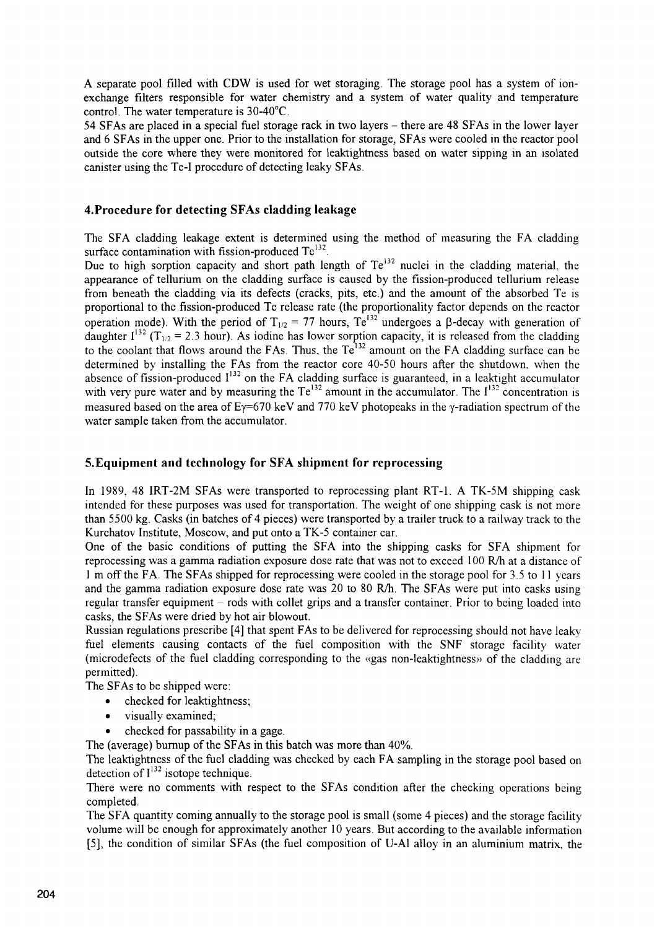A separate pool filled with CDW is used for wet storaging. The storage pool has a system of **ion**exchange filters responsible for water chemistry and a system of water quality and temperature control. The water temperature is 30-40'C.

54 SFAs are placed in a special fuel storage rack in two layers - there are 48 SFAs in the lower layer and 6 SFAs in the upper one. Pior to the installation for storage, SFAs were cooled in the reactor pool outside the core where they were monitored for leaktightriess based on water sipping in an isolated canister using the Te-I procedure of detecting leaky SFAs.

## **4.Procedure for detecting SFAs cladding leakage**

The SFA cladding leakage extent is determined using the method of measuring the FA cladding surface contamination with fission-produced  $Te^{132}$ .

Due to high sorption capacity and short path length of Te<sup>132</sup> nuclei in the cladding material, the appearance of tellurium on the cladding surface is caused by the fission-produced tellurium release from beneath the cladding via its defects (cracks, pits, etc.) and the amount of the absorbed Te is proportional to the fission-produced Te release rate (the proportionality factor depends on the reactor operation mode). With the period of  $T_{1/2} = 77$  hours, Te<sup>132</sup> undergoes a  $\beta$ -decay with generation of daughter  $I^{132}$  (T<sub>1/2</sub> = 2.3 hour). As iodine has lower sorption capacity, it is released from the cladding to the coolant that flows around the FAs. Thus, the  $Te^{132}$  amount on the FA cladding surface can be determined by installing the FAs from the reactor core 40-50 hours after the shutdown, when the absence of fission-produced  $I^{132}$  on the FA cladding surface is guaranteed, in a leaktight accumulator with very pure water and by measuring the  $Te^{132}$  amount in the accumulator. The  $I^{132}$  concentration is measured based on the area of  $Ey=670 \text{ keV}$  and 770 keV photopeaks in the y-radiation spectrum of the water sample taken from the accumulator.

#### **5.Equipment and technology for** SFA **shipment for reprocessing**

In 1989, 48 IRT-2M SFAs were transported to reprocessing plant RT-1. A TK-5M shipping cask intended for these purposes was used for transportation. The weight of one shipping cask is not more than 5500 kg. Casks (in batches of 4 pieces) were transported by a trailer truck to a railway track to the Kurchatov Institute, Moscow, and put onto a TK-5 container car.

One of the basic conditions of putting the SFA into the shipping casks for SFA shipment for reprocessing was a gamma radiation exposure dose rate that was not to exceed 100 R/h at a distance of I in off the FA. The SFAs shipped for reprocessing were cooled in the storage pool for 35 to I I years and the gamma radiation exposure dose rate was 20 to 80 R/h. The SFAs were put into casks using regular transfer equipment - rods with collet grips and a transfer container. Prior to being loaded into casks. the SFAs were dried by hot air blowout.

Russian regulations prescribe [4] that spent FAs to be delivered for reprocessing should not have leaky fuel elements causing contacts of the fuel composition with the SNF storage facility water (microdefects of the fuel cladding corresponding to the  $\alpha$ gas non-leaktightness» of the cladding are permitted).

The SFAs to be shipped were:

- checked for leaktightness;
- visually examined,
- checked for passability in a gage.

The (average) burnup of the SFAs **in** this batch was more than 40%.

The leaktightness of the fuel cladding was checked by each FA sampling in the storage pool based on detection of  $I^{132}$  isotope technique.

There were no comments with respect to the SFAs condition after the checking operations being completed.

The SFA quantity coming annually to the storage pool is small (some 4 pieces) and the storage facility volume will be enough for approximately another IO years. But according to the available information [5], the condition of similar SFAs (the fuel composition of U-Al alloy in an aluminium matrix, the